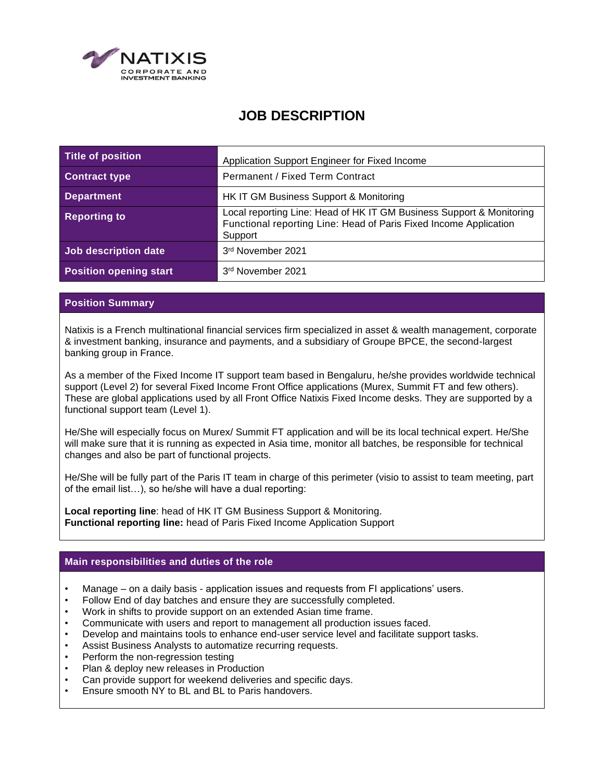

# **JOB DESCRIPTION**

| Title of position             | Application Support Engineer for Fixed Income                                                                                                        |
|-------------------------------|------------------------------------------------------------------------------------------------------------------------------------------------------|
| <b>Contract type</b>          | Permanent / Fixed Term Contract                                                                                                                      |
| <b>Department</b>             | HK IT GM Business Support & Monitoring                                                                                                               |
| <b>Reporting to</b>           | Local reporting Line: Head of HK IT GM Business Support & Monitoring<br>Functional reporting Line: Head of Paris Fixed Income Application<br>Support |
| Job description date          | 3rd November 2021                                                                                                                                    |
| <b>Position opening start</b> | 3rd November 2021                                                                                                                                    |

### **Position Summary**

Natixis is a French multinational financial services firm specialized in asset & wealth management, corporate & investment banking, insurance and payments, and a subsidiary of Groupe BPCE, the second-largest banking group in France.

As a member of the Fixed Income IT support team based in Bengaluru, he/she provides worldwide technical support (Level 2) for several Fixed Income Front Office applications (Murex, Summit FT and few others). These are global applications used by all Front Office Natixis Fixed Income desks. They are supported by a functional support team (Level 1).

He/She will especially focus on Murex/ Summit FT application and will be its local technical expert. He/She will make sure that it is running as expected in Asia time, monitor all batches, be responsible for technical changes and also be part of functional projects.

He/She will be fully part of the Paris IT team in charge of this perimeter (visio to assist to team meeting, part of the email list…), so he/she will have a dual reporting:

**Local reporting line**: head of HK IT GM Business Support & Monitoring. **Functional reporting line:** head of Paris Fixed Income Application Support

## **Main responsibilities and duties of the role**

- Manage on a daily basis application issues and requests from FI applications' users.
- Follow End of day batches and ensure they are successfully completed.
- Work in shifts to provide support on an extended Asian time frame.
- Communicate with users and report to management all production issues faced.
- Develop and maintains tools to enhance end-user service level and facilitate support tasks.
- Assist Business Analysts to automatize recurring requests.
- Perform the non-regression testing
- Plan & deploy new releases in Production
- Can provide support for weekend deliveries and specific days.
- Ensure smooth NY to BL and BL to Paris handovers.